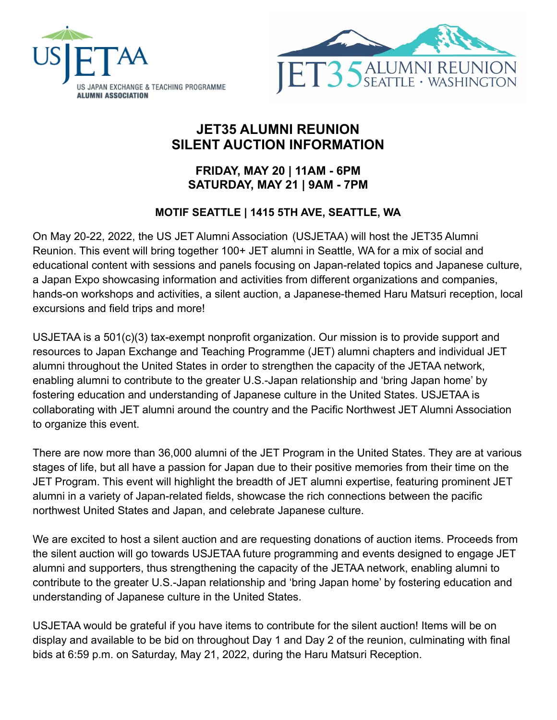



# **JET35 ALUMNI REUNION SILENT AUCTION INFORMATION**

## **FRIDAY, MAY 20 | 11AM - 6PM SATURDAY, MAY 21 | 9AM - 7PM**

## **MOTIF SEATTLE | 1415 5TH AVE, SEATTLE, WA**

On May 20-22, 2022, the US JET Alumni Association (USJETAA) will host the JET35 Alumni Reunion. This event will bring together 100+ JET alumni in Seattle, WA for a mix of social and educational content with sessions and panels focusing on Japan-related topics and Japanese culture, a Japan Expo showcasing information and activities from different organizations and companies, hands-on workshops and activities, a silent auction, a Japanese-themed Haru Matsuri reception, local excursions and field trips and more!

USJETAA is a 501(c)(3) tax-exempt nonprofit organization. Our mission is to provide support and resources to Japan Exchange and Teaching Programme (JET) alumni chapters and individual JET alumni throughout the United States in order to strengthen the capacity of the JETAA network, enabling alumni to contribute to the greater U.S.-Japan relationship and 'bring Japan home' by fostering education and understanding of Japanese culture in the United States. USJETAA is collaborating with JET alumni around the country and the Pacific Northwest JET Alumni Association to organize this event.

There are now more than 36,000 alumni of the JET Program in the United States. They are at various stages of life, but all have a passion for Japan due to their positive memories from their time on the JET Program. This event will highlight the breadth of JET alumni expertise, featuring prominent JET alumni in a variety of Japan-related fields, showcase the rich connections between the pacific northwest United States and Japan, and celebrate Japanese culture.

We are excited to host a silent auction and are requesting donations of auction items. Proceeds from the silent auction will go towards USJETAA future programming and events designed to engage JET alumni and supporters, thus strengthening the capacity of the JETAA network, enabling alumni to contribute to the greater U.S.-Japan relationship and 'bring Japan home' by fostering education and understanding of Japanese culture in the United States.

USJETAA would be grateful if you have items to contribute for the silent auction! Items will be on display and available to be bid on throughout Day 1 and Day 2 of the reunion, culminating with final bids at 6:59 p.m. on Saturday, May 21, 2022, during the Haru Matsuri Reception.